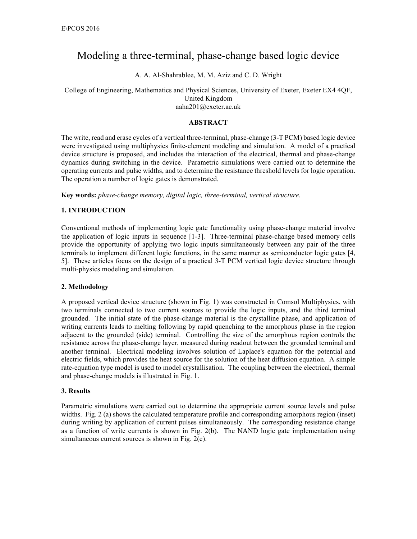# Modeling a three-terminal, phase-change based logic device

A. A. Al-Shahrablee, M. M. Aziz and C. D. Wright

College of Engineering, Mathematics and Physical Sciences, University of Exeter, Exeter EX4 4QF, United Kingdom aaha201@exeter.ac.uk

#### **ABSTRACT**

The write, read and erase cycles of a vertical three-terminal, phase-change (3-T PCM) based logic device were investigated using multiphysics finite-element modeling and simulation. A model of a practical device structure is proposed, and includes the interaction of the electrical, thermal and phase-change dynamics during switching in the device. Parametric simulations were carried out to determine the operating currents and pulse widths, and to determine the resistance threshold levels for logic operation. The operation a number of logic gates is demonstrated.

**Key words:** *phase-change memory, digital logic, three-terminal, vertical structure*.

## **1. INTRODUCTION**

Conventional methods of implementing logic gate functionality using phase-change material involve the application of logic inputs in sequence [1-3]. Three-terminal phase-change based memory cells provide the opportunity of applying two logic inputs simultaneously between any pair of the three terminals to implement different logic functions, in the same manner as semiconductor logic gates [4, 5]. These articles focus on the design of a practical 3-T PCM vertical logic device structure through multi-physics modeling and simulation.

### **2. Methodology**

A proposed vertical device structure (shown in Fig. 1) was constructed in Comsol Multiphysics, with two terminals connected to two current sources to provide the logic inputs, and the third terminal grounded. The initial state of the phase-change material is the crystalline phase, and application of writing currents leads to melting following by rapid quenching to the amorphous phase in the region adjacent to the grounded (side) terminal. Controlling the size of the amorphous region controls the resistance across the phase-change layer, measured during readout between the grounded terminal and another terminal. Electrical modeling involves solution of Laplace's equation for the potential and electric fields, which provides the heat source for the solution of the heat diffusion equation. A simple rate-equation type model is used to model crystallisation. The coupling between the electrical, thermal and phase-change models is illustrated in Fig. 1.

### **3. Results**

Parametric simulations were carried out to determine the appropriate current source levels and pulse widths. Fig. 2 (a) shows the calculated temperature profile and corresponding amorphous region (inset) during writing by application of current pulses simultaneously. The corresponding resistance change as a function of write currents is shown in Fig. 2(b). The NAND logic gate implementation using simultaneous current sources is shown in Fig. 2(c).